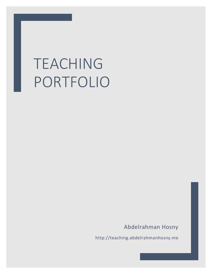# TEACHING PORTFOLIO

Abdelrahman Hosny

http://teaching.abdelrahmanhosny.me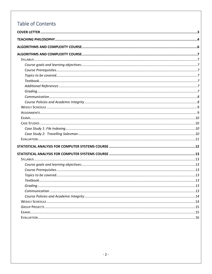# **Table of Contents**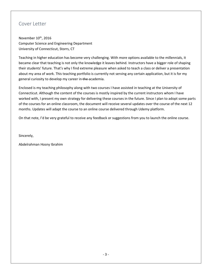## <span id="page-2-0"></span>Cover Letter

November 10<sup>th</sup>, 2016 Computer Science and Engineering Department University of Connecticut, Storrs, CT

Teaching in higher education has become very challenging. With more options available to the millennials, it became clear that teaching is not only the knowledge it leaves behind. Instructors have a bigger role of shaping their students' future. That's why I find extreme pleasure when asked to teach a class or deliver a presentation about my area of work. This teaching portfolio is currently not serving any certain application, but it is for my general curiosity to develop my career in the academia.

Enclosed is my teaching philosophy along with two courses I have assisted in teaching at the University of Connecticut. Although the content of the courses is mostly inspired by the current instructors whom I have worked with, I present my own strategy for delivering these courses in the future. Since I plan to adopt some parts of the courses for an online classroom, the document will receive several updates over the course of the next 12 months. Updates will adapt the course to an online course delivered through Udemy platform.

On that note, I'd be very grateful to receive any feedback or suggestions from you to launch the online course.

Sincerely,

Abdelrahman Hosny Ibrahim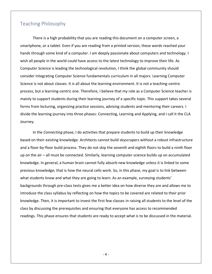## <span id="page-3-0"></span>Teaching Philosophy

There is a high probability that you are reading this document on a computer screen, a smartphone, or a tablet. Even if you are reading from a printed version, these words reached your hands through some kind of a computer. I am deeply passionate about computers and technology. I wish all people in the world could have access to the latest technology to improve their life. As Computer Science is leading the technological revolution, I think the global community should consider integrating Computer Science fundamentals curriculum in all majors. Learning Computer Science is not about classes. It is all about the learning environment. It is not a teaching-centric process, but a learning-centric one. Therefore, I believe that my role as a Computer Science teacher is mainly to support students during their learning journey of a specific topic. This support takes several forms from lecturing, organizing practice sessions, advising students and mentoring their careers. I divide the learning journey into three phases: Connecting, Learning and Applying, and I call it the CLA Journey.

In the *Connecting* phase, I do activities that prepare students to build up their knowledge based on their existing knowledge. Architects cannot build skyscrapers without a robust infrastructure and a floor-by-floor build process. They do not skip the seventh and eighth floors to build a ninth floor up on the air – all must be connected. Similarly, learning computer science builds up on accumulated knowledge. In general, a human brain cannot fully absorb new knowledge unless it is linked to some previous knowledge; that is how the neural cells work. So, in this phase, my goal is to link between what students know and what they are going to learn. As an example, surveying students' backgrounds through pre-class tests gives me a better idea on how diverse they are and allows me to introduce the class syllabus by reflecting on how the topics to be covered are related to their prior knowledge. Then, it is important to invest the first few classes in raising all students to the level of the class by discussing the prerequisites and ensuring that everyone has access to recommended readings. This phase ensures that students are ready to accept what is to be discussed in the material.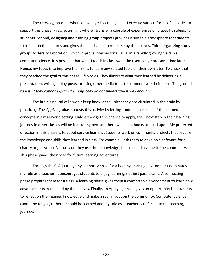The *Learning* phase is when knowledge is actually built. I execute various forms of activities to support this phase. First, lecturing is where I transfer a capsule of experiences on a specific subject to students. Second, designing and running group projects provides a suitable atmosphere for students to reflect on the lectures and gives them a chance to rehearse by themselves. Third, organizing study groups fosters collaboration, which improve interpersonal skills. In a rapidly growing field like computer science, it is possible that what I teach in class won't be useful anymore sometime later. Hence, my focus is to improve their skills to learn any related topic on their own later. To check that they reached the goal of this phase, I flip roles. They illustrate what they learned by delivering a presentation, writing a blog posts, or using other media tools to communicate their ideas. The ground rule is: *If they cannot explain it simply, they do not understand it well enough*.

The brain's neural cells won't keep knowledge unless they are circulated in the brain by practicing. The *Applying* phase boosts this activity by letting students make use of the learned concepts in a real-world setting. Unless they get the chance to apply, their next step in their learning journey in other classes will be frustrating because there will be no hooks to build upon. My preferred direction in this phase is to adopt service learning. Students work on community projects that require the knowledge and skills they learned in class. For example, I ask them to develop a software for a charity organization. Not only do they use their knowledge, but also add a value to the community. This phase paves their road for future learning adventures.

Through the CLA journey, my supportive role for a healthy learning environment dominates my role as a teacher. It encourages students to enjoy learning, not just pass exams. A connecting phase prepares them for a class. A learning phase gives them a comfortable environment to learn new advancements in the field by themselves. Finally, an Applying phase gives an opportunity for students to reflect on their gained knowledge and make a real impact on the community. Computer Science cannot be taught, rather it should be learned and my role as a teacher is to facilitate this learning journey.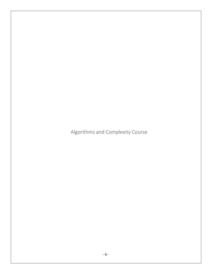<span id="page-5-0"></span>Algorithms and Complexity Course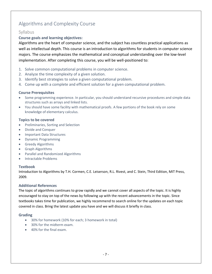# <span id="page-6-0"></span>Algorithms and Complexity Course

### <span id="page-6-1"></span>**Syllabus**

#### <span id="page-6-2"></span>**Course goals and learning objectives:**

Algorithms are the heart of computer science, and the subject has countless practical applications as well as intellectual depth. This course is an introduction to algorithms for students in computer science majors. The course emphasizes the mathematical and conceptual understanding over the low-level implementation. After completing this course, you will be well-positioned to:

- 1. Solve common computational problems in computer science.
- 2. Analyze the time complexity of a given solution.
- 3. Identify best strategies to solve a given computational problem.
- 4. Come up with a complete and efficient solution for a given computational problem.

#### <span id="page-6-3"></span>**Course Prerequisites**

- Some programming experience. In particular, you should understand recursive procedures and simple data structures such as arrays and linked lists.
- You should have some facility with mathematical proofs. A few portions of the book rely on some knowledge of elementary calculus.

#### <span id="page-6-4"></span>**Topics to be covered**

- Preliminaries, Sorting and Selection
- Divide and Conquer
- Important Data Structures
- Dynamic Programming
- Greedy Algorithms
- Graph Algorithms
- Parallel and Randomized Algorithms
- Intractable Problems

#### <span id="page-6-5"></span>**Textbook**

Introduction to Algorithms by T.H. Cormen, C.E. Leiserson, R.L. Rivest, and C. Stein, Third Edition, MIT Press, 2009.

#### <span id="page-6-6"></span>**Additional References**

The topic of algorithms continues to grow rapidly and we cannot cover all aspects of the topic. It is highly encouraged to stay on top of the news by following up with the recent advancements in the topic. Since textbooks takes time for publication, we highly recommend to search online for the updates on each topic covered in class. Bring the latest update you have and we will discuss it briefly in class.

#### <span id="page-6-7"></span>**Grading**

- 30% for homework (10% for each; 3 homework in total)
- 30% for the midterm exam.
- 40% for the final exam.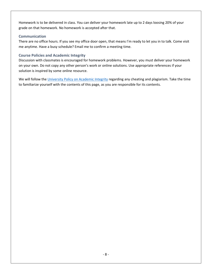Homework is to be delivered in class. You can deliver your homework late up to 2 days loosing 20% of your grade on that homework. No homework is accepted after that.

#### <span id="page-7-0"></span>**Communication**

There are no office hours. If you see my office door open, that means I'm ready to let you in to talk. Come visit me anytime. Have a busy schedule? Email me to confirm a meeting time.

#### <span id="page-7-1"></span>**Course Policies and Academic Integrity**

Discussion with classmates is encouraged for homework problems. However, you must deliver your homework on your own. Do not copy any other person's work or online solutions. Use appropriate references if your solution is inspired by some online resource.

We will follow the [University Policy on Academic Integrity](http://community.uconn.edu/) regarding any cheating and plagiarism. Take the time to familiarize yourself with the contents of this page, as you are responsible for its contents.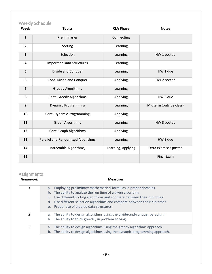## <span id="page-8-0"></span>Weekly Schedule

| Week                    | ,,,,,,,,,,,,,,,,,,<br><b>Topics</b> | <b>CLA Phase</b>   | <b>Notes</b>            |
|-------------------------|-------------------------------------|--------------------|-------------------------|
| $\mathbf{1}$            | Preliminaries                       | Connecting         |                         |
| $\overline{2}$          | Sorting                             | Learning           |                         |
| $\overline{\mathbf{3}}$ | Selection                           | Learning           | HW 1 posted             |
| 4                       | <b>Important Data Structures</b>    | Learning           |                         |
| 5                       | Divide and Conquer                  | Learning           | HW 1 due                |
| 6                       | Cont. Divide and Conquer            | Applying           | HW 2 posted             |
| $\overline{7}$          | <b>Greedy Algorithms</b>            | Learning           |                         |
| 8                       | Cont. Greedy Algorithms             | Applying           | HW 2 due                |
| $\boldsymbol{9}$        | <b>Dynamic Programming</b>          | Learning           | Midterm (outside class) |
| 10                      | Cont. Dynamic Programming           | Applying           |                         |
| 11                      | <b>Graph Algorithms</b>             | Learning           | HW 3 posted             |
| 12                      | Cont. Graph Algorithms              | Applying           |                         |
| 13                      | Parallel and Randomized Algorithms  | Learning           | HW 3 due                |
| 14                      | Intractable Algorithms,             | Learning, Applying | Extra exercises posted  |
| 15                      |                                     |                    | <b>Final Exam</b>       |

# <span id="page-8-1"></span>Assignments

 $\overline{a}$ 

| <b>Homework</b> | <b>Measures</b>                                                                                                                                                                                                                                                                                                                                              |
|-----------------|--------------------------------------------------------------------------------------------------------------------------------------------------------------------------------------------------------------------------------------------------------------------------------------------------------------------------------------------------------------|
| 1               | Employing preliminary mathematical formulas in proper domains.<br>a.<br>The ability to analyze the run time of a given algorithm.<br>b.<br>Use different sorting algorithms and compare between their run times.<br>C.<br>Use different selection algorithms and compare between their run times.<br>d.<br>Proper use of studied data structures.<br>$e_{1}$ |
| 2               | The ability to design algorithms using the divide-and-conquer paradigm.<br>a.<br>The ability to think greedily in problem solving.<br>b.                                                                                                                                                                                                                     |
| 3               | The ability to design algorithms using the greedy algorithms approach.<br>a.<br>The ability to design algorithms using the dynamic programming approach.<br>b.                                                                                                                                                                                               |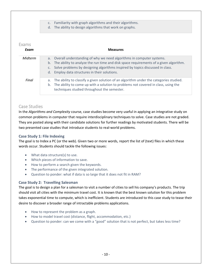- c. Familiarity with graph algorithms and their algorithms.
- d. The ability to design algorithms that work on graphs.

#### <span id="page-9-0"></span>Exams

| Exam    | <b>Measures</b>                                                                                                                                                                                                                                                                                                            |
|---------|----------------------------------------------------------------------------------------------------------------------------------------------------------------------------------------------------------------------------------------------------------------------------------------------------------------------------|
| Midterm | a. Overall understanding of why we need algorithms in computer systems.<br>The ability to analyze the run time and disk space requirements of a given algorithm.<br>b.<br>Solve problems by designing algorithms inspired by topics discussed in class.<br>C <sub>1</sub><br>d. Employ data structures in their solutions. |
| Final   | The ability to classify a given solution of an algorithm under the categories studied.<br>a.<br>The ability to come up with a solution to problems not covered in class, using the<br>b.<br>techniques studied throughout the semester.                                                                                    |

#### <span id="page-9-1"></span>Case Studies

In the *Algorithms and Complexity* course, case studies become very useful in applying an integrative study on common problems in computer that require interdisciplinary techniques to solve. Case studies are not graded. They are posted along with their candidate solutions for further readings by motivated students. There will be two presented case studies that introduce students to real-world problems.

#### <span id="page-9-2"></span>**Case Study 1: File Indexing**

The goal is to Index a PC (or the web). Given two or more words, report the list of (text) files in which these words occur. Students should tackle the following issues:

- What data structure(s) to use.
- Which pieces of information to save.
- How to perform a search given the keywords.
- The performance of the given integrated solution.
- Question to ponder: what if data is so large that it does not fit in RAM?

#### <span id="page-9-3"></span>**Case Study 2: Travelling Salesman**

The goal is to design a plan for a salesman to visit a number of cities to sell his company's products. The trip should visit all cities with the minimum travel cost. It is known that the best known solution for this problem takes exponential time to compute, which is inefficient. Students are introduced to this case study to tease their desire to discover a broader range of intractable problems applications.

- How to represent the problem as a graph.
- How to model travel cost (distance, flight, accommodation, etc.)
- Question to ponder: can we come with a "good" solution that is not perfect, but takes less time?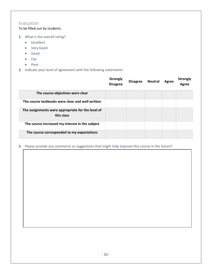## <span id="page-10-0"></span>Evaluation

To be filled out by students.

- 1. What is the overall rating?
	- Excellent
	- Very Good
	- Good
	- Fair
	- Poor
- 2. Indicate your level of agreement with the following statements:

|                                                                 | <b>Strongly</b><br><b>Disagree</b> | <b>Disagree</b> | <b>Neutral</b> | Agree | <b>Strongly</b><br>Agree |
|-----------------------------------------------------------------|------------------------------------|-----------------|----------------|-------|--------------------------|
| The course objectives were clear                                |                                    |                 |                |       |                          |
| The course textbooks were clear and well written                |                                    |                 |                |       |                          |
| The assignments were appropriate for the level of<br>this class |                                    |                 |                |       |                          |
| The course increased my interest in the subject                 |                                    |                 |                |       |                          |
| The course corresponded to my expectations                      |                                    |                 |                |       |                          |

3. Please provide any comments or suggestions that might help improve this course in the future?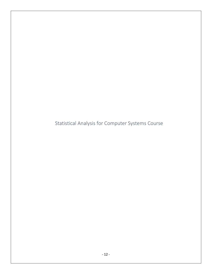<span id="page-11-0"></span>Statistical Analysis for Computer Systems Course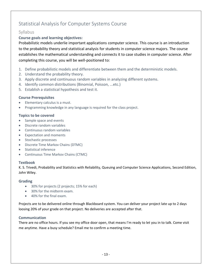# <span id="page-12-0"></span>Statistical Analysis for Computer Systems Course

## <span id="page-12-1"></span>**Syllabus**

#### <span id="page-12-2"></span>**Course goals and learning objectives:**

Probabilistic models underlie important applications computer science. This course is an introduction to the probability theory and statistical analysis for students in computer science majors. The course establishes the mathematical understanding and connects it to case studies in computer science. After completing this course, you will be well-positioned to:

- 1. Define probabilistic models and differentiate between them and the deterministic models.
- 2. Understand the probability theory.
- 3. Apply discrete and continuous random variables in analyzing different systems.
- 4. Identify common distributions (Binomial, Poisson, ...etc.)
- 5. Establish a statistical hypothesis and test it.

#### <span id="page-12-3"></span>**Course Prerequisites**

- Elementary calculus is a must.
- Programming knowledge in any language is required for the class project.

#### <span id="page-12-4"></span>**Topics to be covered**

- Sample space and events
- Discrete random variables
- Continuous random variables
- Expectation and moments
- Stochastic processes
- Discrete Time Markov Chains (DTMC)
- Statistical inference
- Continuous Time Markov Chains (CTMC)

#### <span id="page-12-5"></span>**Textbook**

K. S. Trivedi, Probability and Statistics with Reliability, Queuing and Computer Science Applications, Second Edition, John Wiley.

#### <span id="page-12-6"></span>**Grading**

- 30% for projects (2 projects; 15% for each)
- 30% for the midterm exam.
- 40% for the final exam.

Projects are to be delivered online through Blackboard system. You can deliver your project late up to 2 days loosing 20% of your grade on that project. No deliveries are accepted after that.

#### <span id="page-12-7"></span>**Communication**

There are no office hours. If you see my office door open, that means I'm ready to let you in to talk. Come visit me anytime. Have a busy schedule? Email me to confirm a meeting time.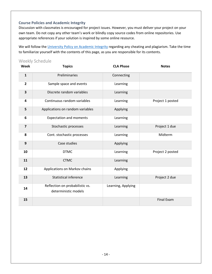#### <span id="page-13-0"></span>**Course Policies and Academic Integrity**

Discussion with classmates is encouraged for project issues. However, you must deliver your project on your own team. Do not copy any other team's work or blindly copy source codes from online repositories. Use appropriate references if your solution is inspired by some online resource.

We will follow the [University Policy on Academic Integrity](http://community.uconn.edu/) regarding any cheating and plagiarism. Take the time to familiarize yourself with the contents of this page, as you are responsible for its contents.

#### <span id="page-13-1"></span>Weekly Schedule

| Week                    | <b>Topics</b>                                           | <b>CLA Phase</b>   | <b>Notes</b>     |
|-------------------------|---------------------------------------------------------|--------------------|------------------|
| $\mathbf{1}$            | Preliminaries                                           | Connecting         |                  |
| $\overline{2}$          | Sample space and events                                 | Learning           |                  |
| 3                       | Discrete random variables                               | Learning           |                  |
| $\overline{\mathbf{4}}$ | Continuous random variables                             | Learning           | Project 1 posted |
| 5                       | Applications on random variables                        | Applying           |                  |
| 6                       | <b>Expectation and moments</b>                          | Learning           |                  |
| $\overline{7}$          | Stochastic processes                                    | Learning           | Project 1 due    |
| 8                       | Cont. stochastic processes                              | Learning           | Midterm          |
| $\boldsymbol{9}$        | Case studies                                            | Applying           |                  |
| 10                      | <b>DTMC</b>                                             | Learning           | Project 2 posted |
| 11                      | <b>CTMC</b>                                             | Learning           |                  |
| 12                      | Applications on Markov chains                           | Applying           |                  |
| 13                      | <b>Statistical inference</b>                            | Learning           | Project 2 due    |
| 14                      | Reflection on probabilistic vs.<br>deterministic models | Learning, Applying |                  |
| 15                      |                                                         |                    | Final Exam       |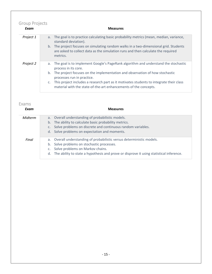# <span id="page-14-0"></span>Group Projects

| Exam      | <b>Measures</b>                                                                                                                                                                                            |
|-----------|------------------------------------------------------------------------------------------------------------------------------------------------------------------------------------------------------------|
| Project 1 | a. The goal is to practice calculating basic probability metrics (mean, median, variance,<br>standard deviation).<br>b. The project focuses on simulating random walks in a two-dimensional grid. Students |
|           | are asked to collect data as the simulation runs and then calculate the required<br>metrics.                                                                                                               |
| Project 2 | a. The goal is to implement Google's PageRank algorithm and understand the stochastic<br>process in its core.                                                                                              |
|           | b. The project focuses on the implementation and observation of how stochastic<br>processes run in practice.                                                                                               |
|           | c. This project includes a research part as it motivates students to integrate their class<br>material with the state-of-the-art enhancements of the concepts.                                             |

## <span id="page-14-1"></span>Exams

| Exam    | <b>Measures</b>                                                                                                                                                                                                                                                 |
|---------|-----------------------------------------------------------------------------------------------------------------------------------------------------------------------------------------------------------------------------------------------------------------|
| Midterm | a. Overall understanding of probabilistic models.<br>The ability to calculate basic probability metrics.<br>$b_{\cdot}$<br>Solve problems on discrete and continuous random variables.<br>Solve problems on expectation and moments.<br>d.                      |
| Final   | Overall understanding of probabilistic versus deterministic models.<br>a.<br>Solve problems on stochastic processes.<br>b.<br>Solve problems on Markov chains.<br>The ability to state a hypothesis and prove or disprove it using statistical inference.<br>d. |